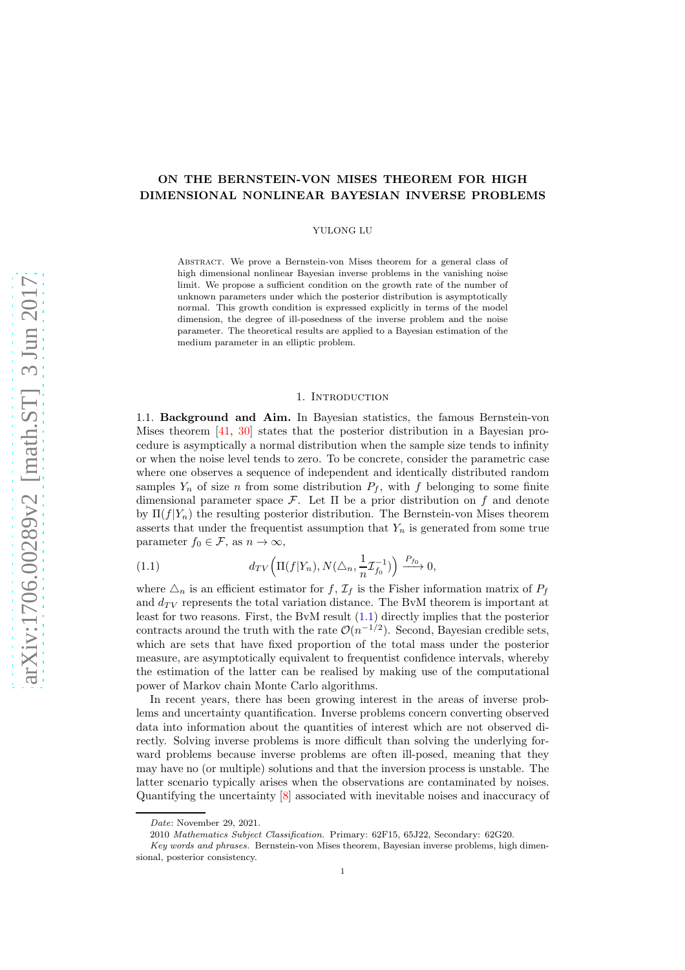# ON THE BERNSTEIN-VON MISES THEOREM FOR HIGH DIMENSIONAL NONLINEAR BAYESIAN INVERSE PROBLEMS

#### YULONG LU

Abstract. We prove a Bernstein-von Mises theorem for a general class of high dimensional nonlinear Bayesian inverse problems in the vanishing noise limit. We propose a sufficient condition on the growth rate of the number of unknown parameters under which the posterior distribution is asymptotically normal. This growth condition is expressed explicitly in terms of the model dimension, the degree of ill-posedness of the inverse problem and the noise parameter. The theoretical results are applied to a Bayesian estimation of the medium parameter in an elliptic problem.

#### 1. INTRODUCTION

1.1. Background and Aim. In Bayesian statistics, the famous Bernstein-von Mises theorem [\[41,](#page-14-0) [30\]](#page-14-1) states that the posterior distribution in a Bayesian procedure is asymptically a normal distribution when the sample size tends to infinity or when the noise level tends to zero. To be concrete, consider the parametric case where one observes a sequence of independent and identically distributed random samples  $Y_n$  of size n from some distribution  $P_f$ , with f belonging to some finite dimensional parameter space  $\mathcal{F}$ . Let  $\Pi$  be a prior distribution on f and denote by  $\Pi(f|Y_n)$  the resulting posterior distribution. The Bernstein-von Mises theorem asserts that under the frequentist assumption that  $Y_n$  is generated from some true parameter  $f_0 \in \mathcal{F}$ , as  $n \to \infty$ ,

<span id="page-0-0"></span>(1.1) 
$$
d_{TV}\left(\Pi(f|Y_n), N(\triangle_n, \frac{1}{n}\mathcal{I}_{f_0}^{-1})\right) \xrightarrow{P_{f_0}} 0,
$$

where  $\Delta_n$  is an efficient estimator for f,  $\mathcal{I}_f$  is the Fisher information matrix of  $P_f$ and  $d_{TV}$  represents the total variation distance. The BvM theorem is important at least for two reasons. First, the BvM result [\(1.1\)](#page-0-0) directly implies that the posterior contracts around the truth with the rate  $\mathcal{O}(n^{-1/2})$ . Second, Bayesian credible sets, which are sets that have fixed proportion of the total mass under the posterior measure, are asymptotically equivalent to frequentist confidence intervals, whereby the estimation of the latter can be realised by making use of the computational power of Markov chain Monte Carlo algorithms.

In recent years, there has been growing interest in the areas of inverse problems and uncertainty quantification. Inverse problems concern converting observed data into information about the quantities of interest which are not observed directly. Solving inverse problems is more difficult than solving the underlying forward problems because inverse problems are often ill-posed, meaning that they may have no (or multiple) solutions and that the inversion process is unstable. The latter scenario typically arises when the observations are contaminated by noises. Quantifying the uncertainty [\[8\]](#page-13-0) associated with inevitable noises and inaccuracy of

Date: November 29, 2021.

<sup>2010</sup> Mathematics Subject Classification. Primary: 62F15, 65J22, Secondary: 62G20.

Key words and phrases. Bernstein-von Mises theorem, Bayesian inverse problems, high dimensional, posterior consistency.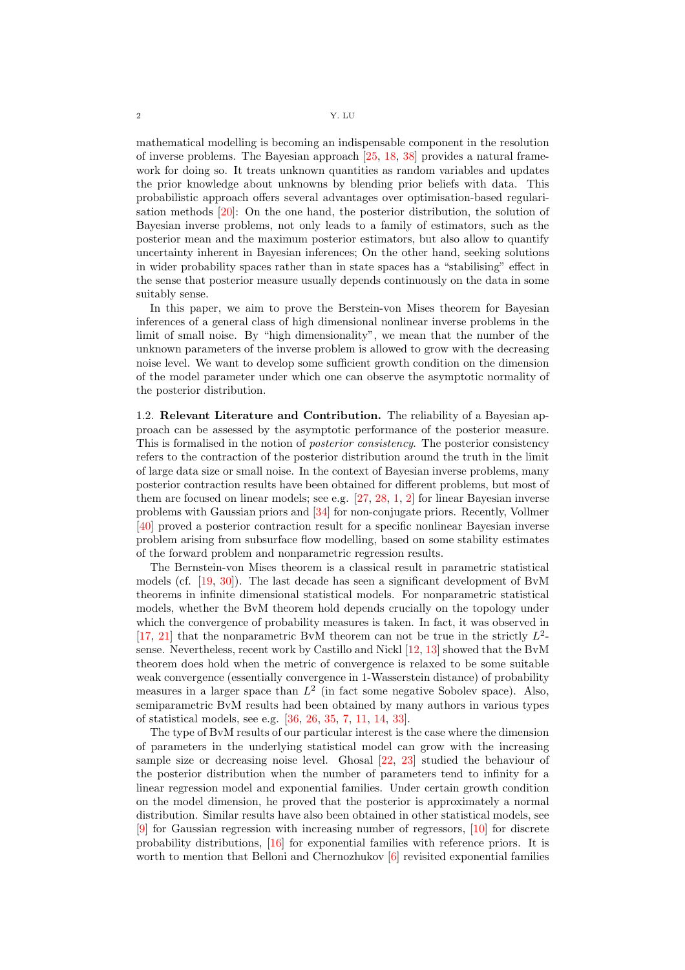mathematical modelling is becoming an indispensable component in the resolution of inverse problems. The Bayesian approach [\[25,](#page-14-2) [18,](#page-14-3) [38\]](#page-14-4) provides a natural framework for doing so. It treats unknown quantities as random variables and updates the prior knowledge about unknowns by blending prior beliefs with data. This probabilistic approach offers several advantages over optimisation-based regularisation methods [\[20\]](#page-14-5): On the one hand, the posterior distribution, the solution of Bayesian inverse problems, not only leads to a family of estimators, such as the posterior mean and the maximum posterior estimators, but also allow to quantify uncertainty inherent in Bayesian inferences; On the other hand, seeking solutions in wider probability spaces rather than in state spaces has a "stabilising" effect in the sense that posterior measure usually depends continuously on the data in some suitably sense.

In this paper, we aim to prove the Berstein-von Mises theorem for Bayesian inferences of a general class of high dimensional nonlinear inverse problems in the limit of small noise. By "high dimensionality", we mean that the number of the unknown parameters of the inverse problem is allowed to grow with the decreasing noise level. We want to develop some sufficient growth condition on the dimension of the model parameter under which one can observe the asymptotic normality of the posterior distribution.

1.2. Relevant Literature and Contribution. The reliability of a Bayesian approach can be assessed by the asymptotic performance of the posterior measure. This is formalised in the notion of posterior consistency. The posterior consistency refers to the contraction of the posterior distribution around the truth in the limit of large data size or small noise. In the context of Bayesian inverse problems, many posterior contraction results have been obtained for different problems, but most of them are focused on linear models; see e.g. [\[27,](#page-14-6) [28,](#page-14-7) [1,](#page-13-1) [2\]](#page-13-2) for linear Bayesian inverse problems with Gaussian priors and [\[34\]](#page-14-8) for non-conjugate priors. Recently, Vollmer [\[40\]](#page-14-9) proved a posterior contraction result for a specific nonlinear Bayesian inverse problem arising from subsurface flow modelling, based on some stability estimates of the forward problem and nonparametric regression results.

The Bernstein-von Mises theorem is a classical result in parametric statistical models (cf. [\[19,](#page-14-10) [30\]](#page-14-1)). The last decade has seen a significant development of BvM theorems in infinite dimensional statistical models. For nonparametric statistical models, whether the BvM theorem hold depends crucially on the topology under which the convergence of probability measures is taken. In fact, it was observed in [\[17,](#page-14-11) [21\]](#page-14-12) that the nonparametric BvM theorem can not be true in the strictly  $L^2$ sense. Nevertheless, recent work by Castillo and Nickl [\[12,](#page-13-3) [13\]](#page-13-4) showed that the BvM theorem does hold when the metric of convergence is relaxed to be some suitable weak convergence (essentially convergence in 1-Wasserstein distance) of probability measures in a larger space than  $L^2$  (in fact some negative Sobolev space). Also, semiparametric BvM results had been obtained by many authors in various types of statistical models, see e.g. [\[36,](#page-14-13) [26,](#page-14-14) [35,](#page-14-15) [7,](#page-13-5) [11,](#page-13-6) [14,](#page-14-16) [33\]](#page-14-17).

The type of BvM results of our particular interest is the case where the dimension of parameters in the underlying statistical model can grow with the increasing sample size or decreasing noise level. Ghosal [\[22,](#page-14-18) [23\]](#page-14-19) studied the behaviour of the posterior distribution when the number of parameters tend to infinity for a linear regression model and exponential families. Under certain growth condition on the model dimension, he proved that the posterior is approximately a normal distribution. Similar results have also been obtained in other statistical models, see [\[9\]](#page-13-7) for Gaussian regression with increasing number of regressors, [\[10\]](#page-13-8) for discrete probability distributions, [\[16\]](#page-14-20) for exponential families with reference priors. It is worth to mention that Belloni and Chernozhukov [\[6\]](#page-13-9) revisited exponential families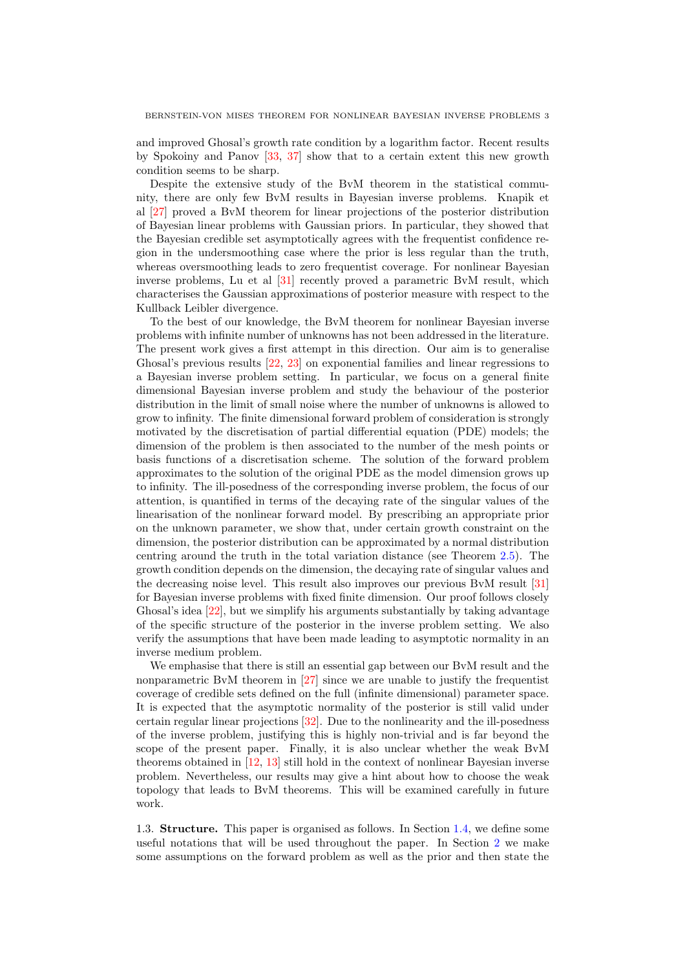and improved Ghosal's growth rate condition by a logarithm factor. Recent results by Spokoiny and Panov [\[33,](#page-14-17) [37\]](#page-14-21) show that to a certain extent this new growth condition seems to be sharp.

Despite the extensive study of the BvM theorem in the statistical community, there are only few BvM results in Bayesian inverse problems. Knapik et al [\[27\]](#page-14-6) proved a BvM theorem for linear projections of the posterior distribution of Bayesian linear problems with Gaussian priors. In particular, they showed that the Bayesian credible set asymptotically agrees with the frequentist confidence region in the undersmoothing case where the prior is less regular than the truth, whereas oversmoothing leads to zero frequentist coverage. For nonlinear Bayesian inverse problems, Lu et al [\[31\]](#page-14-22) recently proved a parametric BvM result, which characterises the Gaussian approximations of posterior measure with respect to the Kullback Leibler divergence.

To the best of our knowledge, the BvM theorem for nonlinear Bayesian inverse problems with infinite number of unknowns has not been addressed in the literature. The present work gives a first attempt in this direction. Our aim is to generalise Ghosal's previous results [\[22,](#page-14-18) [23\]](#page-14-19) on exponential families and linear regressions to a Bayesian inverse problem setting. In particular, we focus on a general finite dimensional Bayesian inverse problem and study the behaviour of the posterior distribution in the limit of small noise where the number of unknowns is allowed to grow to infinity. The finite dimensional forward problem of consideration is strongly motivated by the discretisation of partial differential equation (PDE) models; the dimension of the problem is then associated to the number of the mesh points or basis functions of a discretisation scheme. The solution of the forward problem approximates to the solution of the original PDE as the model dimension grows up to infinity. The ill-posedness of the corresponding inverse problem, the focus of our attention, is quantified in terms of the decaying rate of the singular values of the linearisation of the nonlinear forward model. By prescribing an appropriate prior on the unknown parameter, we show that, under certain growth constraint on the dimension, the posterior distribution can be approximated by a normal distribution centring around the truth in the total variation distance (see Theorem [2.5\)](#page-5-0). The growth condition depends on the dimension, the decaying rate of singular values and the decreasing noise level. This result also improves our previous BvM result [\[31\]](#page-14-22) for Bayesian inverse problems with fixed finite dimension. Our proof follows closely Ghosal's idea [\[22\]](#page-14-18), but we simplify his arguments substantially by taking advantage of the specific structure of the posterior in the inverse problem setting. We also verify the assumptions that have been made leading to asymptotic normality in an inverse medium problem.

We emphasise that there is still an essential gap between our BvM result and the nonparametric BvM theorem in [\[27\]](#page-14-6) since we are unable to justify the frequentist coverage of credible sets defined on the full (infinite dimensional) parameter space. It is expected that the asymptotic normality of the posterior is still valid under certain regular linear projections [\[32\]](#page-14-23). Due to the nonlinearity and the ill-posedness of the inverse problem, justifying this is highly non-trivial and is far beyond the scope of the present paper. Finally, it is also unclear whether the weak BvM theorems obtained in [\[12,](#page-13-3) [13\]](#page-13-4) still hold in the context of nonlinear Bayesian inverse problem. Nevertheless, our results may give a hint about how to choose the weak topology that leads to BvM theorems. This will be examined carefully in future work.

1.3. Structure. This paper is organised as follows. In Section [1.4,](#page-3-0) we define some useful notations that will be used throughout the paper. In Section [2](#page-3-1) we make some assumptions on the forward problem as well as the prior and then state the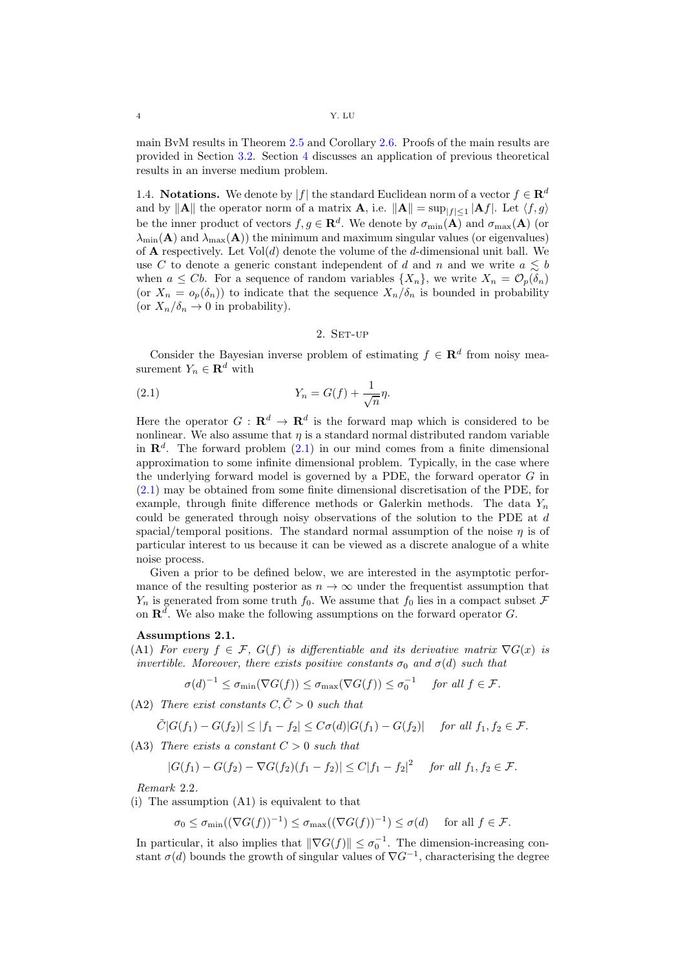main BvM results in Theorem [2.5](#page-5-0) and Corollary [2.6.](#page-6-0) Proofs of the main results are provided in Section [3.2.](#page-9-0) Section [4](#page-10-0) discusses an application of previous theoretical results in an inverse medium problem.

<span id="page-3-0"></span>1.4. Notations. We denote by |f| the standard Euclidean norm of a vector  $f \in \mathbb{R}^d$ and by  $\|\mathbf{A}\|$  the operator norm of a matrix  $\mathbf{A}$ , i.e.  $\|\mathbf{A}\| = \sup_{|f| \leq 1} |\mathbf{A}f|$ . Let  $\langle f, g \rangle$ be the inner product of vectors  $f, g \in \mathbb{R}^d$ . We denote by  $\sigma_{\min}(\mathbf{A})$  and  $\sigma_{\max}(\mathbf{A})$  (or  $\lambda_{\min}(\mathbf{A})$  and  $\lambda_{\max}(\mathbf{A})$  the minimum and maximum singular values (or eigenvalues) of **A** respectively. Let  $Vol(d)$  denote the volume of the d-dimensional unit ball. We use C to denote a generic constant independent of d and n and we write  $a \leq b$ when  $a \leq Cb$ . For a sequence of random variables  $\{X_n\}$ , we write  $X_n = \mathcal{O}_p(\delta_n)$ (or  $X_n = o_p(\delta_n)$ ) to indicate that the sequence  $X_n/\delta_n$  is bounded in probability (or  $X_n/\delta_n \to 0$  in probability).

# <span id="page-3-2"></span>2. SET-UP

<span id="page-3-1"></span>Consider the Bayesian inverse problem of estimating  $f \in \mathbf{R}^d$  from noisy measurement  $Y_n \in \mathbf{R}^d$  with

$$
(2.1)\t\t Y_n = G(f) + \frac{1}{\sqrt{n}}\eta.
$$

Here the operator  $G: \mathbf{R}^d \to \mathbf{R}^d$  is the forward map which is considered to be nonlinear. We also assume that  $\eta$  is a standard normal distributed random variable in  $\mathbb{R}^d$ . The forward problem  $(2.1)$  in our mind comes from a finite dimensional approximation to some infinite dimensional problem. Typically, in the case where the underlying forward model is governed by a PDE, the forward operator G in [\(2.1\)](#page-3-2) may be obtained from some finite dimensional discretisation of the PDE, for example, through finite difference methods or Galerkin methods. The data  $Y_n$ could be generated through noisy observations of the solution to the PDE at d spacial/temporal positions. The standard normal assumption of the noise  $\eta$  is of particular interest to us because it can be viewed as a discrete analogue of a white noise process.

Given a prior to be defined below, we are interested in the asymptotic performance of the resulting posterior as  $n \to \infty$  under the frequentist assumption that  $Y_n$  is generated from some truth  $f_0$ . We assume that  $f_0$  lies in a compact subset  $\mathcal F$ on  $\mathbb{R}^d$ . We also make the following assumptions on the forward operator G.

## <span id="page-3-3"></span>Assumptions 2.1.

(A1) For every  $f \in \mathcal{F}$ ,  $G(f)$  is differentiable and its derivative matrix  $\nabla G(x)$  is invertible. Moreover, there exists positive constants  $\sigma_0$  and  $\sigma(d)$  such that

$$
\sigma(d)^{-1} \leq \sigma_{\min}(\nabla G(f)) \leq \sigma_{\max}(\nabla G(f)) \leq \sigma_0^{-1} \quad \text{ for all } f \in \mathcal{F}.
$$

(A2) There exist constants  $C, \tilde{C} > 0$  such that

$$
\tilde{C}|G(f_1) - G(f_2)| \le |f_1 - f_2| \le C\sigma(d)|G(f_1) - G(f_2)| \quad \text{ for all } f_1, f_2 \in \mathcal{F}.
$$

(A3) There exists a constant  $C > 0$  such that

$$
|G(f_1) - G(f_2) - \nabla G(f_2)(f_1 - f_2)| \le C|f_1 - f_2|^2 \quad \text{for all } f_1, f_2 \in \mathcal{F}.
$$

Remark 2.2.

(i) The assumption (A1) is equivalent to that

$$
\sigma_0 \leq \sigma_{\min}((\nabla G(f))^{-1}) \leq \sigma_{\max}((\nabla G(f))^{-1}) \leq \sigma(d) \quad \text{ for all } f \in \mathcal{F}.
$$

In particular, it also implies that  $\|\nabla G(f)\| \leq \sigma_0^{-1}$ . The dimension-increasing constant  $\sigma(d)$  bounds the growth of singular values of  $\nabla G^{-1}$ , characterising the degree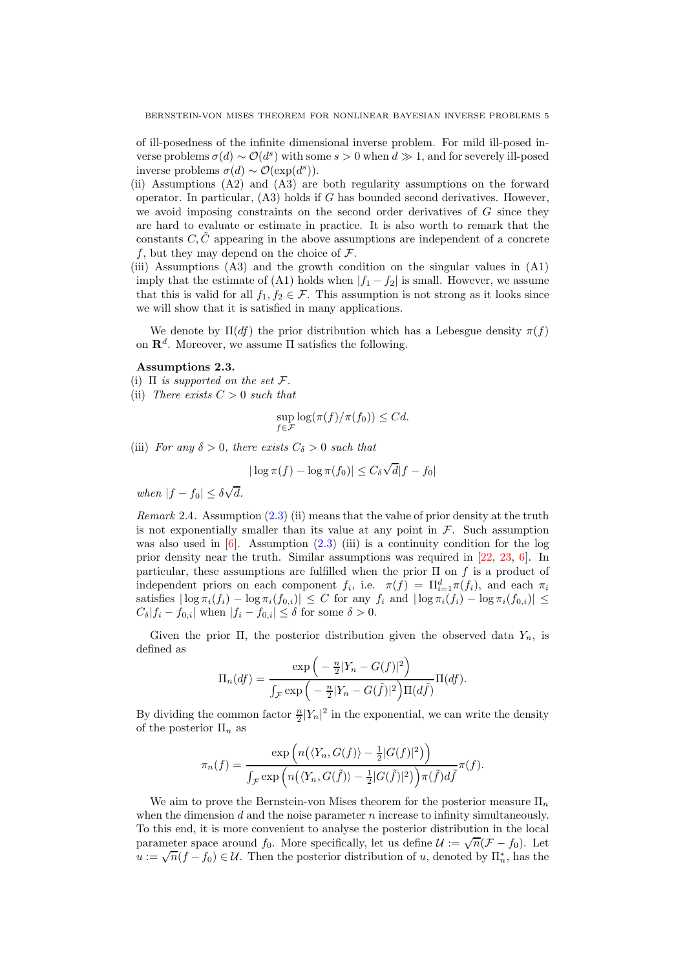of ill-posedness of the infinite dimensional inverse problem. For mild ill-posed inverse problems  $\sigma(d) \sim \mathcal{O}(d^s)$  with some  $s > 0$  when  $d \gg 1$ , and for severely ill-posed inverse problems  $\sigma(d) \sim \mathcal{O}(\exp(d^s)).$ 

- (ii) Assumptions (A2) and (A3) are both regularity assumptions on the forward operator. In particular,  $(A3)$  holds if G has bounded second derivatives. However, we avoid imposing constraints on the second order derivatives of  $G$  since they are hard to evaluate or estimate in practice. It is also worth to remark that the constants C,  $\tilde{C}$  appearing in the above assumptions are independent of a concrete f, but they may depend on the choice of  $\mathcal{F}$ .
- (iii) Assumptions (A3) and the growth condition on the singular values in (A1) imply that the estimate of (A1) holds when  $|f_1 - f_2|$  is small. However, we assume that this is valid for all  $f_1, f_2 \in \mathcal{F}$ . This assumption is not strong as it looks since we will show that it is satisfied in many applications.

We denote by  $\Pi(df)$  the prior distribution which has a Lebesgue density  $\pi(f)$ on  $\mathbf{R}^d$ . Moreover, we assume  $\Pi$  satisfies the following.

#### <span id="page-4-0"></span>Assumptions 2.3.

(i)  $\Pi$  is supported on the set  $\mathcal{F}.$ 

(ii) There exists  $C > 0$  such that

$$
\sup_{f \in \mathcal{F}} \log(\pi(f)/\pi(f_0)) \leq Cd.
$$

(iii) For any  $\delta > 0$ , there exists  $C_{\delta} > 0$  such that

$$
|\log \pi(f) - \log \pi(f_0)| \le C_\delta \sqrt{d}|f - f_0|
$$

when  $|f - f_0| \le \delta \sqrt{d}$ .

<span id="page-4-1"></span>Remark 2.4. Assumption  $(2.3)$  (ii) means that the value of prior density at the truth is not exponentially smaller than its value at any point in  $\mathcal{F}$ . Such assumption was also used in  $[6]$ . Assumption  $(2.3)$  (iii) is a continuity condition for the log prior density near the truth. Similar assumptions was required in [\[22,](#page-14-18) [23,](#page-14-19) [6\]](#page-13-9). In particular, these assumptions are fulfilled when the prior  $\Pi$  on f is a product of independent priors on each component  $f_i$ , i.e.  $\pi(f) = \prod_{i=1}^d \pi(f_i)$ , and each  $\pi_i$ satisfies  $|\log \pi_i(f_i) - \log \pi_i(f_{0,i})| \leq C$  for any  $f_i$  and  $|\log \pi_i(f_i) - \log \pi_i(f_{0,i})| \leq C$  $C_{\delta}|f_i - f_{0,i}|$  when  $|f_i - f_{0,i}| \leq \delta$  for some  $\delta > 0$ .

Given the prior  $\Pi$ , the posterior distribution given the observed data  $Y_n$ , is defined as

$$
\Pi_n(df) = \frac{\exp\left(-\frac{n}{2}|Y_n - G(f)|^2\right)}{\int_{\mathcal{F}} \exp\left(-\frac{n}{2}|Y_n - G(\tilde{f})|^2\right) \Pi(d\tilde{f})} \Pi(df).
$$

By dividing the common factor  $\frac{n}{2}|Y_n|^2$  in the exponential, we can write the density of the posterior  $\Pi_n$  as

$$
\pi_n(f) = \frac{\exp\left(n(\langle Y_n, G(f) \rangle - \frac{1}{2}|G(f)|^2)\right)}{\int_{\mathcal{F}} \exp\left(n(\langle Y_n, G(\tilde{f}) \rangle - \frac{1}{2}|G(\tilde{f})|^2)\right)\pi(\tilde{f})d\tilde{f}}\pi(f).
$$

We aim to prove the Bernstein-von Mises theorem for the posterior measure  $\Pi_n$ when the dimension  $d$  and the noise parameter  $n$  increase to infinity simultaneously. To this end, it is more convenient to analyse the posterior distribution in the local parameter space around  $f_0$ . More specifically, let us define  $\mathcal{U} := \sqrt{n}(\mathcal{F} - f_0)$ . Let  $u := \sqrt{n}(f - f_0) \in \mathcal{U}$ . Then the posterior distribution of u, denoted by  $\prod_{n=1}^{\infty}$ , has the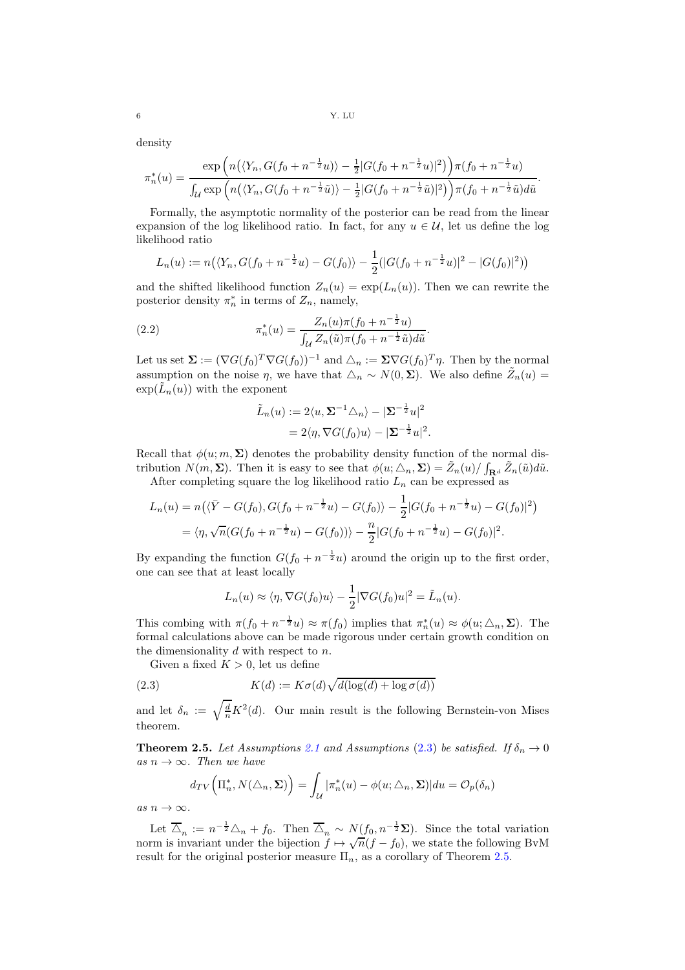6 Y. LU

density

$$
\pi_n^*(u) = \frac{\exp\left(n(\langle Y_n, G(f_0 + n^{-\frac{1}{2}}u)\rangle - \frac{1}{2}|G(f_0 + n^{-\frac{1}{2}}u)|^2)\right)\pi(f_0 + n^{-\frac{1}{2}}u)}{\int_{\mathcal{U}} \exp\left(n(\langle Y_n, G(f_0 + n^{-\frac{1}{2}}\tilde{u})\rangle - \frac{1}{2}|G(f_0 + n^{-\frac{1}{2}}\tilde{u})|^2)\right)\pi(f_0 + n^{-\frac{1}{2}}\tilde{u})d\tilde{u}}.
$$

Formally, the asymptotic normality of the posterior can be read from the linear expansion of the log likelihood ratio. In fact, for any  $u \in \mathcal{U}$ , let us define the log likelihood ratio

$$
L_n(u) := n(\langle Y_n, G(f_0 + n^{-\frac{1}{2}}u) - G(f_0) \rangle - \frac{1}{2}(|G(f_0 + n^{-\frac{1}{2}}u)|^2 - |G(f_0)|^2))
$$

and the shifted likelihood function  $Z_n(u) = \exp(L_n(u))$ . Then we can rewrite the posterior density  $\pi_n^*$  in terms of  $Z_n$ , namely,

(2.2) 
$$
\pi_n^*(u) = \frac{Z_n(u)\pi(f_0 + n^{-\frac{1}{2}}u)}{\int_{\mathcal{U}} Z_n(\tilde{u})\pi(f_0 + n^{-\frac{1}{2}}\tilde{u})d\tilde{u}}.
$$

Let us set  $\Sigma := (\nabla G(f_0)^T \nabla G(f_0))^{-1}$  and  $\triangle_n := \Sigma \nabla G(f_0)^T \eta$ . Then by the normal assumption on the noise  $\eta$ , we have that  $\Delta_n \sim N(0, \Sigma)$ . We also define  $\tilde{Z}_n(u) =$  $\exp(\tilde{L}_n(u))$  with the exponent

<span id="page-5-1"></span>
$$
\tilde{L}_n(u) := 2\langle u, \mathbf{\Sigma}^{-1} \triangle_n \rangle - |\mathbf{\Sigma}^{-\frac{1}{2}} u|^2
$$
  
= 2\langle \eta, \nabla G(f\_0) u \rangle - |\mathbf{\Sigma}^{-\frac{1}{2}} u|^2.

Recall that  $\phi(u; m, \Sigma)$  denotes the probability density function of the normal distribution  $N(m, \Sigma)$ . Then it is easy to see that  $\phi(u; \triangle_n, \Sigma) = \tilde{Z}_n(u) / \int_{\mathbf{R}^d} \tilde{Z}_n(\tilde{u}) d\tilde{u}$ .

After completing square the log likelihood ratio  $L_n$  can be expressed as

$$
L_n(u) = n\left(\langle \bar{Y} - G(f_0), G(f_0 + n^{-\frac{1}{2}}u) - G(f_0) \rangle - \frac{1}{2} |G(f_0 + n^{-\frac{1}{2}}u) - G(f_0)|^2\right)
$$
  
=  $\langle \eta, \sqrt{n} (G(f_0 + n^{-\frac{1}{2}}u) - G(f_0)) \rangle - \frac{n}{2} |G(f_0 + n^{-\frac{1}{2}}u) - G(f_0)|^2.$ 

By expanding the function  $G(f_0 + n^{-\frac{1}{2}}u)$  around the origin up to the first order, one can see that at least locally

<span id="page-5-2"></span>
$$
L_n(u) \approx \langle \eta, \nabla G(f_0)u \rangle - \frac{1}{2} |\nabla G(f_0)u|^2 = \tilde{L}_n(u).
$$

This combing with  $\pi(f_0 + n^{-\frac{1}{2}}u) \approx \pi(f_0)$  implies that  $\pi_n^*(u) \approx \phi(u; \triangle_n, \Sigma)$ . The formal calculations above can be made rigorous under certain growth condition on the dimensionality  $d$  with respect to  $n$ .

Given a fixed  $K > 0$ , let us define

(2.3) 
$$
K(d) := K\sigma(d)\sqrt{d(\log(d) + \log \sigma(d))}
$$

and let  $\delta_n := \sqrt{\frac{d}{n}} K^2(d)$ . Our main result is the following Bernstein-von Mises theorem.

<span id="page-5-0"></span>**Theorem 2.5.** Let Assumptions [2.1](#page-3-3) and Assumptions [\(2.3\)](#page-4-0) be satisfied. If  $\delta_n \to 0$ as  $n \to \infty$ . Then we have

$$
d_{TV}\left(\Pi_n^*, N(\triangle_n, \Sigma)\right) = \int_{\mathcal{U}} |\pi_n^*(u) - \phi(u; \triangle_n, \Sigma)| du = \mathcal{O}_p(\delta_n)
$$

as  $n \to \infty$ .

Let  $\overline{\Delta}_n := n^{-\frac{1}{2}} \Delta_n + f_0$ . Then  $\overline{\Delta}_n \sim N(f_0, n^{-\frac{1}{2}} \Sigma)$ . Since the total variation norm is invariant under the bijection  $f \mapsto \sqrt{n}(f - f_0)$ , we state the following BvM result for the original posterior measure  $\Pi_n$ , as a corollary of Theorem [2.5.](#page-5-0)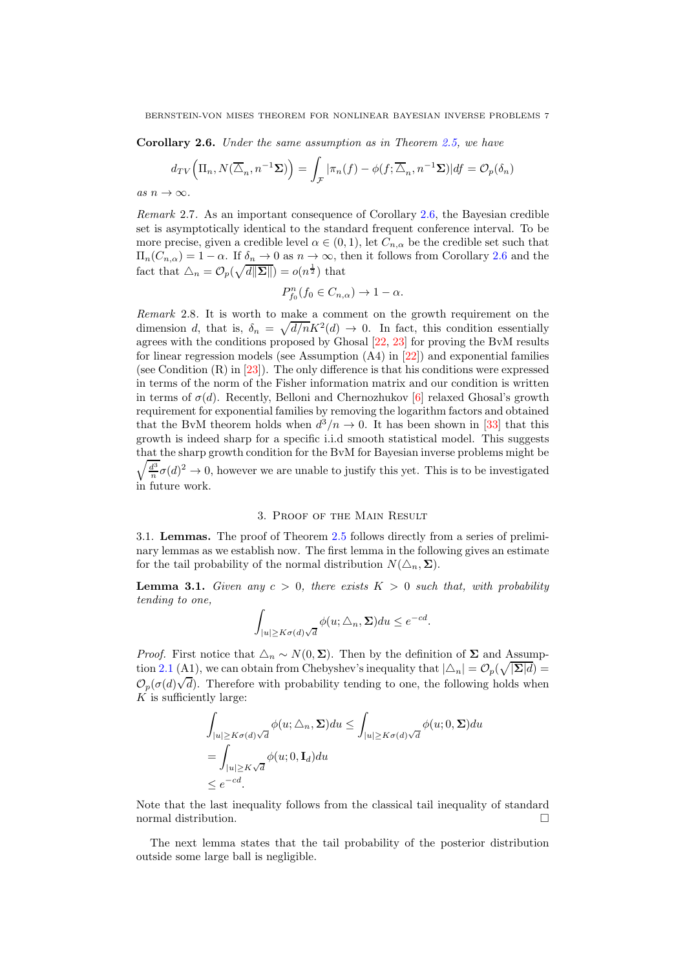<span id="page-6-0"></span>Corollary 2.6. Under the same assumption as in Theorem [2.5,](#page-5-0) we have

$$
d_{TV}\Big(\Pi_n, N(\overline{\Delta}_n, n^{-1}\Sigma)\Big) = \int_{\mathcal{F}} |\pi_n(f) - \phi(f; \overline{\Delta}_n, n^{-1}\Sigma)| df = \mathcal{O}_p(\delta_n)
$$

as  $n \to \infty$ .

Remark 2.7. As an important consequence of Corollary [2.6,](#page-6-0) the Bayesian credible set is asymptotically identical to the standard frequent conference interval. To be more precise, given a credible level  $\alpha \in (0,1)$ , let  $C_{n,\alpha}$  be the credible set such that  $\Pi_n(C_{n,\alpha}) = 1 - \alpha$ . If  $\delta_n \to 0$  as  $n \to \infty$ , then it follows from Corollary [2.6](#page-6-0) and the fact that  $\Delta_n = \mathcal{O}_p(\sqrt{d\|\Sigma\|}) = o(n^{\frac{1}{2}})$  that

$$
P_{f_0}^n(f_0 \in C_{n,\alpha}) \to 1 - \alpha.
$$

Remark 2.8. It is worth to make a comment on the growth requirement on the dimension d, that is,  $\delta_n = \sqrt{d/n}K^2(d) \to 0$ . In fact, this condition essentially agrees with the conditions proposed by Ghosal [\[22,](#page-14-18) [23\]](#page-14-19) for proving the BvM results for linear regression models (see Assumption (A4) in [\[22\]](#page-14-18)) and exponential families (see Condition  $(R)$  in  $[23]$ ). The only difference is that his conditions were expressed in terms of the norm of the Fisher information matrix and our condition is written in terms of  $\sigma(d)$ . Recently, Belloni and Chernozhukov [\[6\]](#page-13-9) relaxed Ghosal's growth requirement for exponential families by removing the logarithm factors and obtained that the BvM theorem holds when  $d^3/n \to 0$ . It has been shown in [\[33\]](#page-14-17) that this growth is indeed sharp for a specific i.i.d smooth statistical model. This suggests that the sharp growth condition for the BvM for Bayesian inverse p roblems might be  $\sqrt{\frac{d^3}{n}}\sigma(d)^2 \to 0$ , however we are unable to justify this yet. This is to be investigated in future work.

### 3. Proof of the Main Result

3.1. Lemmas. The proof of Theorem [2.5](#page-5-0) follows directly from a series of preliminary lemmas as we establish now. The first lemma in the following gives an estimate for the tail probability of the normal distribution  $N(\Delta_n, \Sigma)$ .

<span id="page-6-1"></span>**Lemma 3.1.** Given any  $c > 0$ , there exists  $K > 0$  such that, with probability tending to one,

$$
\int_{|u|\geq K\sigma(d)\sqrt{d}} \phi(u;\triangle_n,\Sigma) du \leq e^{-cd}.
$$

*Proof.* First notice that  $\Delta_n \sim N(0, \Sigma)$ . Then by the definition of  $\Sigma$  and Assump-tion [2.1](#page-3-3) (A1), we can obtain from Chebyshev's inequality that  $|\Delta_n| = \mathcal{O}_p(\sqrt{|\mathbf{\Sigma}|d}) =$  $\mathcal{O}_p(\sigma(d)\sqrt{d})$ . Therefore with probability tending to one, the following holds when  $K$  is sufficiently large:

$$
\int_{|u| \ge K\sigma(d)\sqrt{d}} \phi(u;\Delta_n, \Sigma) du \le \int_{|u| \ge K\sigma(d)\sqrt{d}} \phi(u; 0, \Sigma) du
$$
  
= 
$$
\int_{|u| \ge K\sqrt{d}} \phi(u; 0, \mathbf{I}_d) du
$$
  
\$\le e^{-cd}\$.

Note that the last inequality follows from the classical tail inequality of standard normal distribution.

The next lemma states that the tail probability of the posterior distribution outside some large ball is negligible.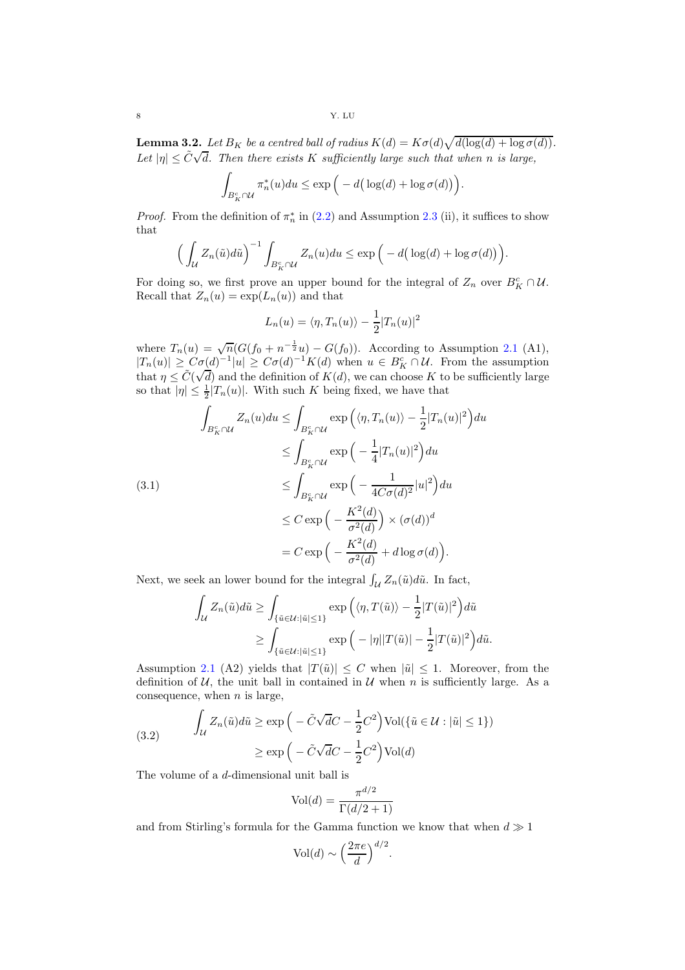<span id="page-7-2"></span>**Lemma 3.2.** Let  $B_K$  be a centred ball of radius  $K(d) = K\sigma(d)\sqrt{d(\log(d) + \log \sigma(d))}$ . Let  $|\eta| \leq \tilde{C}\sqrt{d}$ . Then there exists K sufficiently large such that when n is large,

$$
\int_{B_K^c \cap \mathcal{U}} \pi_n^*(u) du \le \exp\Big(-d\big(\log(d) + \log \sigma(d)\big)\Big).
$$

*Proof.* From the definition of  $\pi_n^*$  in [\(2.2\)](#page-5-1) and Assumption [2.3](#page-4-0) (ii), it suffices to show that

$$
\Big(\int_{\mathcal{U}}Z_n(\tilde{u})d\tilde{u}\Big)^{-1}\int_{B_K^c\cap\mathcal{U}}Z_n(u)du\leq \exp\Big(-d\big(\log(d)+\log\sigma(d)\big)\Big).
$$

For doing so, we first prove an upper bound for the integral of  $Z_n$  over  $B_K^c \cap \mathcal{U}$ . Recall that  $Z_n(u) = \exp(L_n(u))$  and that

$$
L_n(u) = \langle \eta, T_n(u) \rangle - \frac{1}{2} |T_n(u)|^2
$$

where  $T_n(u) = \sqrt{n}(G(f_0 + n^{-\frac{1}{2}}u) - G(f_0))$ . According to Assumption [2.1](#page-3-3) (A1),  $|T_n(u)| \geq C\sigma(d)^{-1}|u| \geq C\sigma(d)^{-1}K(d)$  when  $u \in B_K^c \cap U$ . From the assumption that  $\eta \leq \tilde{C}(\sqrt{d})$  and the definition of  $K(d)$ , we can choose K to be sufficiently large so that  $|\eta| \leq \frac{1}{2}|T_n(u)|$ . With such K being fixed, we have that

<span id="page-7-1"></span>
$$
\int_{B_K^c \cap \mathcal{U}} Z_n(u) du \le \int_{B_K^c \cap \mathcal{U}} \exp\left(\langle \eta, T_n(u) \rangle - \frac{1}{2} |T_n(u)|^2\right) du
$$
  
\n
$$
\le \int_{B_K^c \cap \mathcal{U}} \exp\left(-\frac{1}{4} |T_n(u)|^2\right) du
$$
  
\n
$$
\le \int_{B_K^c \cap \mathcal{U}} \exp\left(-\frac{1}{4C\sigma(d)^2} |u|^2\right) du
$$
  
\n
$$
\le C \exp\left(-\frac{K^2(d)}{\sigma^2(d)}\right) \times (\sigma(d))^d
$$
  
\n
$$
= C \exp\left(-\frac{K^2(d)}{\sigma^2(d)} + d \log \sigma(d)\right).
$$

Next, we seek an lower bound for the integral  $\int_{\mathcal{U}} Z_n(\tilde{u}) d\tilde{u}$ . In fact,

$$
\int_{\mathcal{U}} Z_n(\tilde{u}) d\tilde{u} \ge \int_{\{\tilde{u} \in \mathcal{U}: |\tilde{u}| \le 1\}} \exp\left(\langle \eta, T(\tilde{u}) \rangle - \frac{1}{2} |T(\tilde{u})|^2\right) d\tilde{u}
$$

$$
\ge \int_{\{\tilde{u} \in \mathcal{U}: |\tilde{u}| \le 1\}} \exp\left(-|\eta| |T(\tilde{u})| - \frac{1}{2} |T(\tilde{u})|^2\right) d\tilde{u}.
$$

Assumption [2.1](#page-3-3) (A2) yields that  $|T(\tilde{u})| \leq C$  when  $|\tilde{u}| \leq 1$ . Moreover, from the definition of  $U$ , the unit ball in contained in  $U$  when n is sufficiently large. As a consequence, when  $n$  is large,

<span id="page-7-0"></span>(3.2) 
$$
\int_{\mathcal{U}} Z_n(\tilde{u}) d\tilde{u} \ge \exp\left(-\tilde{C}\sqrt{d}C - \frac{1}{2}C^2\right) \text{Vol}(\{\tilde{u} \in \mathcal{U} : |\tilde{u}| \le 1\})
$$

$$
\ge \exp\left(-\tilde{C}\sqrt{d}C - \frac{1}{2}C^2\right) \text{Vol}(d)
$$

The volume of a d-dimensional unit ball is

$$
Vol(d) = \frac{\pi^{d/2}}{\Gamma(d/2 + 1)}
$$

and from Stirling's formula for the Gamma function we know that when  $d \gg 1$ 

$$
Vol(d) \sim \left(\frac{2\pi e}{d}\right)^{d/2}.
$$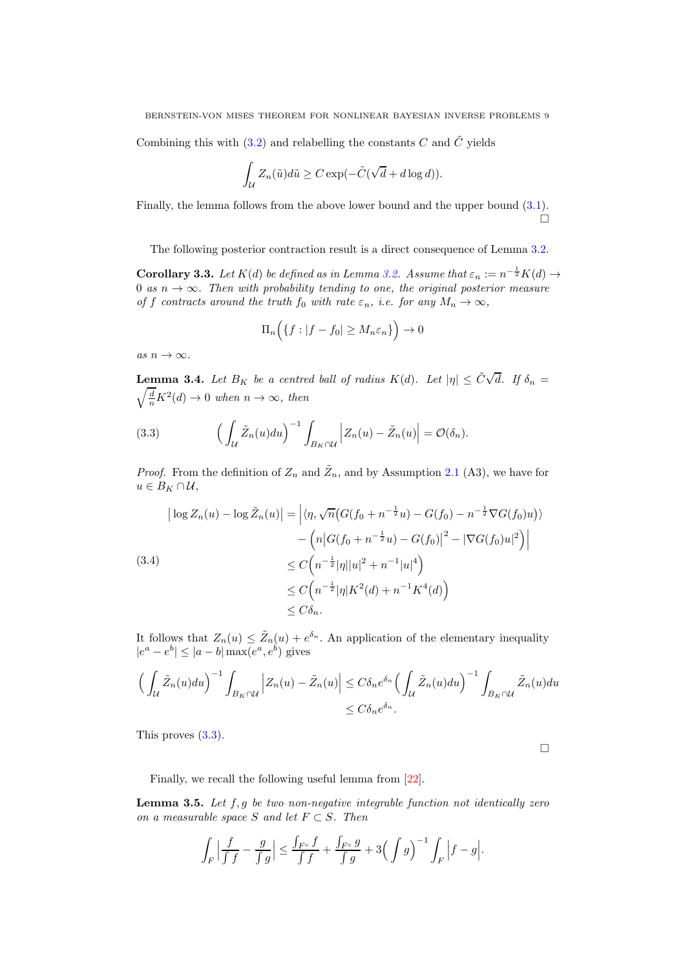Combining this with [\(3.2\)](#page-7-0) and relabelling the constants  $C$  and  $\tilde{C}$  yields

$$
\int_{\mathcal{U}} Z_n(\tilde{u}) d\tilde{u} \ge C \exp(-\tilde{C}(\sqrt{d} + d \log d)).
$$

Finally, the lemma follows from the above lower bound and the upper bound [\(3.1\)](#page-7-1).  $\Box$ 

The following posterior contraction result is a direct consequence of Lemma [3.2.](#page-7-2)

**Corollary 3.3.** Let  $K(d)$  be defined as in Lemma [3.2.](#page-7-2) Assume that  $\varepsilon_n := n^{-\frac{1}{2}}K(d) \rightarrow$ 0 as  $n \to \infty$ . Then with probability tending to one, the original posterior measure of f contracts around the truth  $f_0$  with rate  $\varepsilon_n$ , i.e. for any  $M_n \to \infty$ ,

$$
\Pi_n\Big(\{f:|f-f_0|\geq M_n\varepsilon_n\}\Big)\to 0
$$

as  $n \to \infty$ .

<span id="page-8-2"></span>**Lemma 3.4.** Let  $B_K$  be a centred ball of radius  $K(d)$ . Let  $|\eta| \leq \tilde{C}\sqrt{d}$ . If  $\delta_n =$  $\sqrt{\frac{d}{n}}K^2(d) \to 0$  when  $n \to \infty$ , then

<span id="page-8-0"></span>(3.3) 
$$
\left(\int_{\mathcal{U}} \tilde{Z}_n(u) du\right)^{-1} \int_{B_K \cap \mathcal{U}} \left|Z_n(u) - \tilde{Z}_n(u)\right| = \mathcal{O}(\delta_n).
$$

*Proof.* From the definition of  $Z_n$  and  $\tilde{Z}_n$ , and by Assumption [2.1](#page-3-3) (A3), we have for  $u \in B_K \cap \mathcal{U},$ 

$$
\left| \log Z_n(u) - \log \tilde{Z}_n(u) \right| = \left| \langle \eta, \sqrt{n} \left( G(f_0 + n^{-\frac{1}{2}} u) - G(f_0) - n^{-\frac{1}{2}} \nabla G(f_0) u \right) \rangle \right|
$$
  
- 
$$
\left( n \left| G(f_0 + n^{-\frac{1}{2}} u) - G(f_0) \right|^2 - \left| \nabla G(f_0) u \right|^2 \right) \right|
$$
  

$$
\leq C \left( n^{-\frac{1}{2}} |\eta| |u|^2 + n^{-1} |u|^4 \right)
$$
  

$$
\leq C \left( n^{-\frac{1}{2}} |\eta| K^2(d) + n^{-1} K^4(d) \right)
$$
  

$$
\leq C \delta_n.
$$

It follows that  $Z_n(u) \leq \tilde{Z}_n(u) + e^{\delta_n}$ . An application of the elementary inequality  $|e^a - e^b| \le |a - b| \max(e^a, e^b)$  gives

$$
\left(\int_{\mathcal{U}} \tilde{Z}_n(u) du\right)^{-1} \int_{B_K \cap \mathcal{U}} \left|Z_n(u) - \tilde{Z}_n(u)\right| \leq C \delta_n e^{\delta_n} \left(\int_{\mathcal{U}} \tilde{Z}_n(u) du\right)^{-1} \int_{B_K \cap \mathcal{U}} \tilde{Z}_n(u) du
$$
  

$$
\leq C \delta_n e^{\delta_n}.
$$

This proves  $(3.3)$ .

 $\Box$ 

Finally, we recall the following useful lemma from [\[22\]](#page-14-18).

<span id="page-8-1"></span>**Lemma 3.5.** Let  $f, g$  be two non-negative integrable function not identically zero on a measurable space S and let  $F \subset S$ . Then

$$
\int_{F} \left| \frac{f}{\int f} - \frac{g}{\int g} \right| \le \frac{\int_{F^c} f}{\int f} + \frac{\int_{F^c} g}{\int g} + 3\Big(\int g\Big)^{-1} \int_F \left|f - g\right|.
$$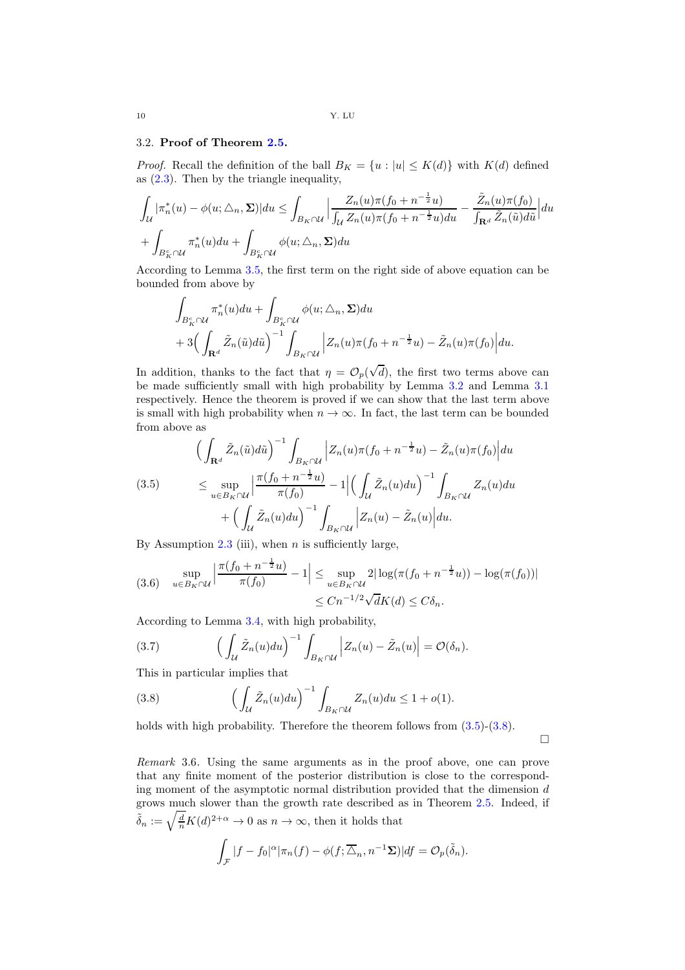# <span id="page-9-0"></span>3.2. Proof of Theorem [2.5.](#page-5-0)

*Proof.* Recall the definition of the ball  $B_K = \{u : |u| \leq K(d)\}\$  with  $K(d)$  defined as [\(2.3\)](#page-5-2). Then by the triangle inequality,

$$
\int_{\mathcal{U}} |\pi_n^*(u) - \phi(u; \triangle_n, \Sigma)| du \le \int_{B_K \cap \mathcal{U}} \left| \frac{Z_n(u)\pi(f_0 + n^{-\frac{1}{2}}u)}{\int_{\mathcal{U}} Z_n(u)\pi(f_0 + n^{-\frac{1}{2}}u) du} - \frac{\tilde{Z}_n(u)\pi(f_0)}{\int_{\mathbf{R}^d} \tilde{Z}_n(\tilde{u}) d\tilde{u}} \right| du
$$
  
+ 
$$
\int_{B_K^c \cap \mathcal{U}} \pi_n^*(u) du + \int_{B_K^c \cap \mathcal{U}} \phi(u; \triangle_n, \Sigma) du
$$

According to Lemma [3.5,](#page-8-1) the first term on the right side of above equation can be bounded from above by

$$
\int_{B_K^c \cap \mathcal{U}} \pi_n^*(u) du + \int_{B_K^c \cap \mathcal{U}} \phi(u; \triangle_n, \Sigma) du
$$
  
+ 
$$
3 \Big( \int_{\mathbf{R}^d} \tilde{Z}_n(\tilde{u}) d\tilde{u} \Big)^{-1} \int_{B_K \cap \mathcal{U}} \Big| Z_n(u) \pi(f_0 + n^{-\frac{1}{2}} u) - \tilde{Z}_n(u) \pi(f_0) \Big| du.
$$

In addition, thanks to the fact that  $\eta = \mathcal{O}_p(\sqrt{d})$ , the first two terms above can be made sufficiently small with high probability by Lemma [3.2](#page-7-2) and Lemma [3.1](#page-6-1) respectively. Hence the theorem is proved if we can show that the last term above is small with high probability when  $n \to \infty$ . In fact, the last term can be bounded from above as

<span id="page-9-1"></span>
$$
\begin{split} \left(\int_{\mathbf{R}^d} \tilde{Z}_n(\tilde{u}) d\tilde{u}\right)^{-1} \int_{B_K \cap \mathcal{U}} \left|Z_n(u)\pi(f_0 + n^{-\frac{1}{2}}u) - \tilde{Z}_n(u)\pi(f_0)\right| du \\ \leq \sup_{u \in B_K \cap \mathcal{U}} \left| \frac{\pi(f_0 + n^{-\frac{1}{2}}u)}{\pi(f_0)} - 1 \right| \left(\int_{\mathcal{U}} \tilde{Z}_n(u) du\right)^{-1} \int_{B_K \cap \mathcal{U}} Z_n(u) du \\ + \left(\int_{\mathcal{U}} \tilde{Z}_n(u) du\right)^{-1} \int_{B_K \cap \mathcal{U}} \left|Z_n(u) - \tilde{Z}_n(u)\right| du. \end{split}
$$

By Assumption [2.3](#page-4-0) (iii), when  $n$  is sufficiently large,

$$
(3.6) \quad \sup_{u \in B_K \cap \mathcal{U}} \left| \frac{\pi (f_0 + n^{-\frac{1}{2}} u)}{\pi (f_0)} - 1 \right| \leq \sup_{u \in B_K \cap \mathcal{U}} 2|\log(\pi (f_0 + n^{-\frac{1}{2}} u)) - \log(\pi (f_0))|
$$
  

$$
\leq C n^{-1/2} \sqrt{d}K(d) \leq C \delta_n.
$$

According to Lemma [3.4,](#page-8-2) with high probability,

(3.7) 
$$
\left(\int_{\mathcal{U}} \tilde{Z}_n(u) du\right)^{-1} \int_{B_K \cap \mathcal{U}} \left|Z_n(u) - \tilde{Z}_n(u)\right| = \mathcal{O}(\delta_n).
$$

This in particular implies that

<span id="page-9-2"></span>(3.8) 
$$
\left(\int_{\mathcal{U}} \tilde{Z}_n(u) du\right)^{-1} \int_{B_K \cap \mathcal{U}} Z_n(u) du \leq 1 + o(1).
$$

holds with high probability. Therefore the theorem follows from  $(3.5)-(3.8)$  $(3.5)-(3.8)$ .

 $\Box$ 

Remark 3.6. Using the same arguments as in the proof above, one can prove that any finite moment of the posterior distribution is close to the corresponding moment of the asymptotic normal distribution provided that the dimension  $d$ grows much slower than the growth rate described as in Theorem [2.5.](#page-5-0) Indeed, if  $\tilde{\delta}_n := \sqrt{\frac{d}{n}} K(d)^{2+\alpha} \to 0$  as  $n \to \infty$ , then it holds that

$$
\int_{\mathcal{F}} |f - f_0|^{\alpha} |\pi_n(f) - \phi(f; \overline{\Delta}_n, n^{-1} \Sigma)| df = \mathcal{O}_p(\tilde{\delta}_n).
$$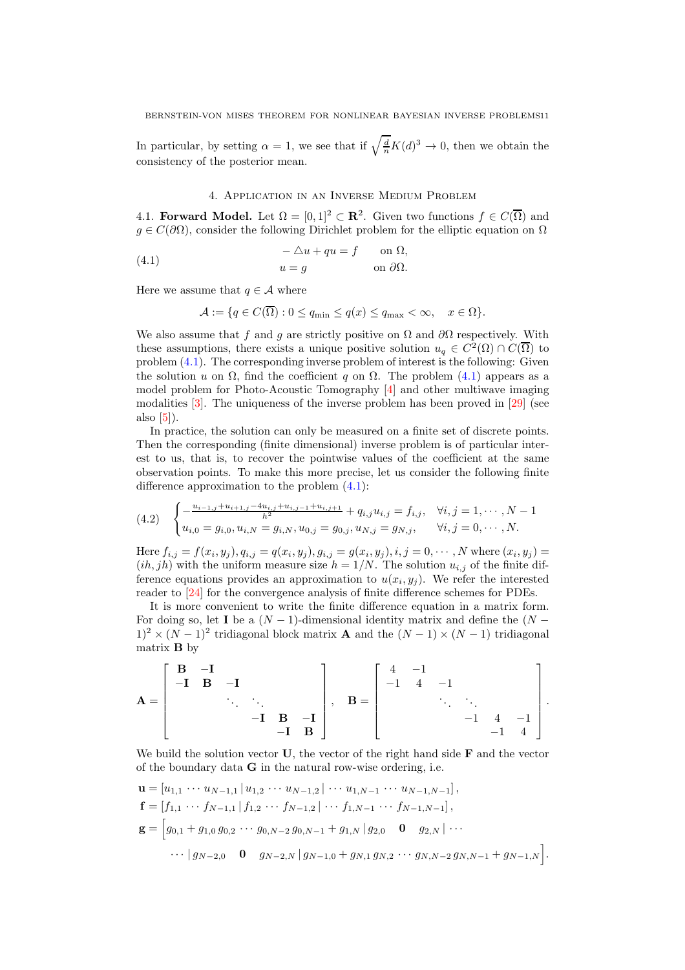In particular, by setting  $\alpha = 1$ , we see that if  $\sqrt{\frac{d}{n}}K(d)^3 \to 0$ , then we obtain the consistency of the posterior mean.

# <span id="page-10-1"></span>4. Application in an Inverse Medium Problem

<span id="page-10-0"></span>4.1. **Forward Model.** Let  $\Omega = [0, 1]^2 \subset \mathbb{R}^2$ . Given two functions  $f \in C(\overline{\Omega})$  and  $g \in C(\partial\Omega)$ , consider the following Dirichlet problem for the elliptic equation on  $\Omega$ 

(4.1) 
$$
-\Delta u + qu = f \qquad \text{on } \Omega,
$$

$$
u = g \qquad \text{on } \partial\Omega.
$$

Here we assume that  $q \in \mathcal{A}$  where

$$
\mathcal{A} := \{ q \in C(\overline{\Omega}) : 0 \le q_{\min} \le q(x) \le q_{\max} < \infty, \quad x \in \Omega \}.
$$

We also assume that f and g are strictly positive on  $\Omega$  and  $\partial\Omega$  respectively. With these assumptions, there exists a unique positive solution  $u_q \in C^2(\Omega) \cap C(\overline{\Omega})$  to problem [\(4.1\)](#page-10-1). The corresponding inverse problem of interest is the following: Given the solution u on  $\Omega$ , find the coefficient q on  $\Omega$ . The problem [\(4.1\)](#page-10-1) appears as a model problem for Photo-Acoustic Tomography [\[4\]](#page-13-10) and other multiwave imaging modalities [\[3\]](#page-13-11). The uniqueness of the inverse problem has been proved in [\[29\]](#page-14-24) (see also [\[5\]](#page-13-12)).

In practice, the solution can only be measured on a finite set of discrete points. Then the corresponding (finite dimensional) inverse problem is of particular interest to us, that is, to recover the pointwise values of the coefficient at the same observation points. To make this more precise, let us consider the following finite difference approximation to the problem [\(4.1\)](#page-10-1):

<span id="page-10-2"></span>
$$
(4.2) \quad\n\begin{cases}\n-\frac{u_{i-1,j} + u_{i+1,j} - 4u_{i,j} + u_{i,j-1} + u_{i,j+1}}{h^2} + q_{i,j}u_{i,j} = f_{i,j}, & \forall i, j = 1, \cdots, N-1 \\
u_{i,0} = g_{i,0}, u_{i,N} = g_{i,N}, u_{0,j} = g_{0,j}, u_{N,j} = g_{N,j}, & \forall i, j = 0, \cdots, N.\n\end{cases}
$$

Here  $f_{i,j} = f(x_i, y_j), q_{i,j} = q(x_i, y_j), g_{i,j} = g(x_i, y_j), i, j = 0, \dots, N$  where  $(x_i, y_j) =$  $(ih, jh)$  with the uniform measure size  $h = 1/N$ . The solution  $u_{i,j}$  of the finite difference equations provides an approximation to  $u(x_i, y_j)$ . We refer the interested reader to [\[24\]](#page-14-25) for the convergence analysis of finite difference schemes for PDEs.

It is more convenient to write the finite difference equation in a matrix form. For doing so, let I be a  $(N-1)$ -dimensional identity matrix and define the  $(N (1)^2 \times (N-1)^2$  tridiagonal block matrix **A** and the  $(N-1) \times (N-1)$  tridiagonal matrix B by

$$
\mathbf{A} = \begin{bmatrix} \mathbf{B} & -\mathbf{I} & & & \\ -\mathbf{I} & \mathbf{B} & -\mathbf{I} & & \\ & \ddots & \ddots & & \\ & & -\mathbf{I} & \mathbf{B} & -\mathbf{I} \\ & & & -\mathbf{I} & \mathbf{B} \end{bmatrix}, \quad \mathbf{B} = \begin{bmatrix} 4 & -1 & & & \\ -1 & 4 & -1 & & \\ & \ddots & \ddots & & \\ & & -1 & 4 & -1 \\ & & & -1 & 4 \end{bmatrix}.
$$

We build the solution vector  $U$ , the vector of the right hand side  $F$  and the vector of the boundary data G in the natural row-wise ordering, i.e.

$$
\mathbf{u} = [u_{1,1} \cdots u_{N-1,1} | u_{1,2} \cdots u_{N-1,2} | \cdots u_{1,N-1} \cdots u_{N-1,N-1}],
$$
  
\n
$$
\mathbf{f} = [f_{1,1} \cdots f_{N-1,1} | f_{1,2} \cdots f_{N-1,2} | \cdots f_{1,N-1} \cdots f_{N-1,N-1}],
$$
  
\n
$$
\mathbf{g} = [g_{0,1} + g_{1,0} g_{0,2} \cdots g_{0,N-2} g_{0,N-1} + g_{1,N} | g_{2,0} \mathbf{0} g_{2,N} | \cdots
$$
  
\n
$$
\cdots | g_{N-2,0} \mathbf{0} g_{N-2,N} | g_{N-1,0} + g_{N,1} g_{N,2} \cdots g_{N,N-2} g_{N,N-1} + g_{N-1,N}].
$$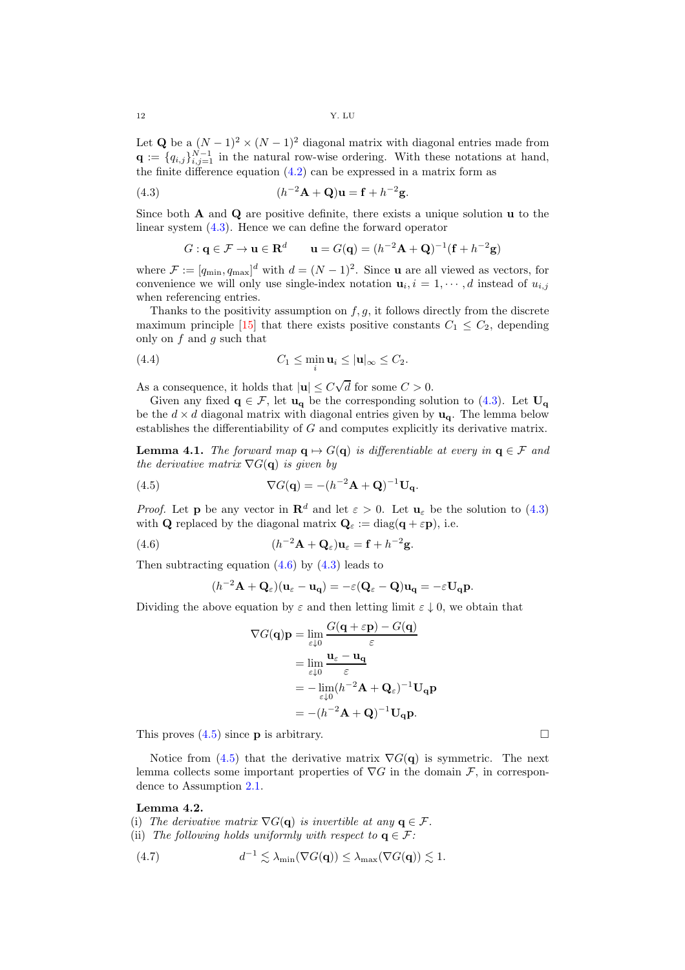12 Y. LU

Let Q be a  $(N-1)^2 \times (N-1)^2$  diagonal matrix with diagonal entries made from  $\mathbf{q} := \{q_{i,j}\}_{i,j=1}^{N-1}$  in the natural row-wise ordering. With these notations at hand, the finite difference equation  $(4.2)$  can be expressed in a matrix form as

(4.3) 
$$
(h^{-2}\mathbf{A} + \mathbf{Q})\mathbf{u} = \mathbf{f} + h^{-2}\mathbf{g}.
$$

Since both  $A$  and  $Q$  are positive definite, there exists a unique solution  $u$  to the linear system [\(4.3\)](#page-11-0). Hence we can define the forward operator

<span id="page-11-0"></span>
$$
G: \mathbf{q} \in \mathcal{F} \to \mathbf{u} \in \mathbf{R}^d \qquad \mathbf{u} = G(\mathbf{q}) = (h^{-2}\mathbf{A} + \mathbf{Q})^{-1}(\mathbf{f} + h^{-2}\mathbf{g})
$$

where  $\mathcal{F} := [q_{\min}, q_{\max}]^d$  with  $d = (N-1)^2$ . Since **u** are all viewed as vectors, for convenience we will only use single-index notation  $\mathbf{u}_i, i = 1, \dots, d$  instead of  $u_{i,j}$ when referencing entries.

Thanks to the positivity assumption on  $f, g$ , it follows directly from the discrete maximum principle [\[15\]](#page-14-26) that there exists positive constants  $C_1 \leq C_2$ , depending only on  $f$  and  $q$  such that

<span id="page-11-4"></span>(4.4) 
$$
C_1 \leq \min_i \mathbf{u}_i \leq |\mathbf{u}|_{\infty} \leq C_2.
$$

As a consequence, it holds that  $|\mathbf{u}| \le C\sqrt{d}$  for some  $C > 0$ .

Given any fixed  $q \in \mathcal{F}$ , let  $u_q$  be the corresponding solution to [\(4.3\)](#page-11-0). Let  $U_q$ be the  $d \times d$  diagonal matrix with diagonal entries given by  $\mathbf{u}_{q}$ . The lemma below establishes the differentiability of  $G$  and computes explicitly its derivative matrix.

<span id="page-11-5"></span>**Lemma 4.1.** The forward map  $q \mapsto G(q)$  is differentiable at every in  $q \in \mathcal{F}$  and the derivative matrix  $\nabla G(\mathbf{q})$  is given by

(4.5) 
$$
\nabla G(\mathbf{q}) = -(h^{-2}\mathbf{A} + \mathbf{Q})^{-1}\mathbf{U}_{\mathbf{q}}.
$$

*Proof.* Let **p** be any vector in  $\mathbb{R}^d$  and let  $\varepsilon > 0$ . Let  $\mathbf{u}_{\varepsilon}$  be the solution to [\(4.3\)](#page-11-0) with **Q** replaced by the diagonal matrix  $\mathbf{Q}_{\varepsilon} := \text{diag}(\mathbf{q} + \varepsilon \mathbf{p})$ , i.e.

(4.6) 
$$
(h^{-2}\mathbf{A}+\mathbf{Q}_{\varepsilon})\mathbf{u}_{\varepsilon}=\mathbf{f}+h^{-2}\mathbf{g}.
$$

Then subtracting equation  $(4.6)$  by  $(4.3)$  leads to

<span id="page-11-2"></span><span id="page-11-1"></span>
$$
(h^{-2}\mathbf{A}+\mathbf{Q}_{\varepsilon})(\mathbf{u}_{\varepsilon}-\mathbf{u}_{\mathbf{q}})=-\varepsilon(\mathbf{Q}_{\varepsilon}-\mathbf{Q})\mathbf{u}_{\mathbf{q}}=-\varepsilon\mathbf{U}_{\mathbf{q}}\mathbf{p}.
$$

Dividing the above equation by  $\varepsilon$  and then letting limit  $\varepsilon \downarrow 0$ , we obtain that

$$
\nabla G(\mathbf{q})\mathbf{p} = \lim_{\varepsilon \downarrow 0} \frac{G(\mathbf{q} + \varepsilon \mathbf{p}) - G(\mathbf{q})}{\varepsilon}
$$
  
= 
$$
\lim_{\varepsilon \downarrow 0} \frac{\mathbf{u}_{\varepsilon} - \mathbf{u}_{\mathbf{q}}}{\varepsilon}
$$
  
= 
$$
-\lim_{\varepsilon \downarrow 0} (h^{-2}\mathbf{A} + \mathbf{Q}_{\varepsilon})^{-1} \mathbf{U}_{\mathbf{q}} \mathbf{p}
$$
  
= 
$$
-(h^{-2}\mathbf{A} + \mathbf{Q})^{-1} \mathbf{U}_{\mathbf{q}} \mathbf{p}.
$$

This proves  $(4.5)$  since **p** is arbitrary.

Notice from [\(4.5\)](#page-11-2) that the derivative matrix  $\nabla G(\mathbf{q})$  is symmetric. The next lemma collects some important properties of  $\nabla G$  in the domain  $\mathcal F$ , in correspondence to Assumption [2.1.](#page-3-3)

# <span id="page-11-6"></span>Lemma 4.2.

(i) The derivative matrix  $\nabla G(\mathbf{q})$  is invertible at any  $\mathbf{q} \in \mathcal{F}$ .

(ii) The following holds uniformly with respect to 
$$
\mathbf{q} \in \mathcal{F}
$$
:

<span id="page-11-3"></span>(4.7) 
$$
d^{-1} \lesssim \lambda_{\min}(\nabla G(\mathbf{q})) \leq \lambda_{\max}(\nabla G(\mathbf{q})) \lesssim 1.
$$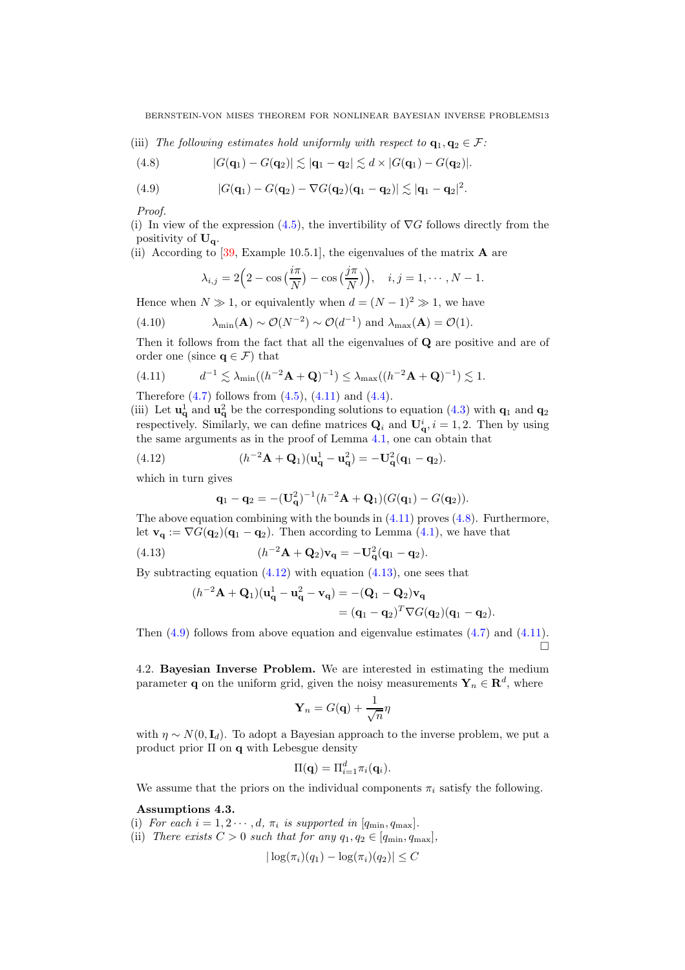(iii) The following estimates hold uniformly with respect to  $\mathbf{q}_1, \mathbf{q}_2 \in \mathcal{F}$ :

<span id="page-12-1"></span>(4.8) 
$$
|G(\mathbf{q}_1)-G(\mathbf{q}_2)| \lesssim |\mathbf{q}_1-\mathbf{q}_2| \lesssim d \times |G(\mathbf{q}_1)-G(\mathbf{q}_2)|.
$$

<span id="page-12-4"></span>(4.9) 
$$
|G(\mathbf{q}_1)-G(\mathbf{q}_2)-\nabla G(\mathbf{q}_2)(\mathbf{q}_1-\mathbf{q}_2)| \lesssim |\mathbf{q}_1-\mathbf{q}_2|^2.
$$

Proof.

(i) In view of the expression [\(4.5\)](#page-11-2), the invertibility of  $\nabla G$  follows directly from the positivity of  $U_q$ .

(ii) According to [\[39,](#page-14-27) Example 10.5.1], the eigenvalues of the matrix  $\bf{A}$  are

$$
\lambda_{i,j} = 2\Big(2 - \cos\big(\frac{i\pi}{N}\big) - \cos\big(\frac{j\pi}{N}\big)\Big), \quad i,j = 1,\cdots,N-1.
$$

Hence when  $N \gg 1$ , or equivalently when  $d = (N-1)^2 \gg 1$ , we have

(4.10) 
$$
\lambda_{\min}(\mathbf{A}) \sim \mathcal{O}(N^{-2}) \sim \mathcal{O}(d^{-1}) \text{ and } \lambda_{\max}(\mathbf{A}) = \mathcal{O}(1).
$$

Then it follows from the fact that all the eigenvalues of Q are positive and are of order one (since  $\mathbf{q} \in \mathcal{F}$ ) that

<span id="page-12-0"></span>(4.11) 
$$
d^{-1} \lesssim \lambda_{\min}((h^{-2}\mathbf{A}+\mathbf{Q})^{-1}) \leq \lambda_{\max}((h^{-2}\mathbf{A}+\mathbf{Q})^{-1}) \lesssim 1.
$$

Therefore  $(4.7)$  follows from  $(4.5)$ ,  $(4.11)$  and  $(4.4)$ .

(iii) Let  $\mathbf{u}_{\mathbf{q}}^1$  and  $\mathbf{u}_{\mathbf{q}}^2$  be the corresponding solutions to equation [\(4.3\)](#page-11-0) with  $\mathbf{q}_1$  and  $\mathbf{q}_2$ respectively. Similarly, we can define matrices  $\mathbf{Q}_i$  and  $\mathbf{U}_\mathbf{q}^i$ ,  $i = 1, 2$ . Then by using the same arguments as in the proof of Lemma [4.1,](#page-11-5) one can obtain that

(4.12) 
$$
(h^{-2}\mathbf{A} + \mathbf{Q}_1)(\mathbf{u}_\mathbf{q}^1 - \mathbf{u}_\mathbf{q}^2) = -\mathbf{U}_\mathbf{q}^2(\mathbf{q}_1 - \mathbf{q}_2).
$$

which in turn gives

<span id="page-12-3"></span><span id="page-12-2"></span>
$$
\mathbf{q}_1 - \mathbf{q}_2 = -(\mathbf{U}_\mathbf{q}^2)^{-1} (h^{-2}\mathbf{A} + \mathbf{Q}_1)(G(\mathbf{q}_1) - G(\mathbf{q}_2)).
$$

The above equation combining with the bounds in  $(4.11)$  proves  $(4.8)$ . Furthermore, let  $\mathbf{v}_{q} := \nabla G(\mathbf{q}_{2})(\mathbf{q}_{1} - \mathbf{q}_{2})$ . Then according to Lemma [\(4.1\)](#page-11-5), we have that

(4.13) 
$$
(h^{-2}\mathbf{A} + \mathbf{Q}_2)\mathbf{v}_\mathbf{q} = -\mathbf{U}_\mathbf{q}^2(\mathbf{q}_1 - \mathbf{q}_2).
$$

By subtracting equation  $(4.12)$  with equation  $(4.13)$ , one sees that

$$
(h^{-2}\mathbf{A}+\mathbf{Q}_1)(\mathbf{u}_\mathbf{q}^1-\mathbf{u}_\mathbf{q}^2-\mathbf{v}_\mathbf{q})=-(\mathbf{Q}_1-\mathbf{Q}_2)\mathbf{v}_\mathbf{q}
$$
  
= $(\mathbf{q}_1-\mathbf{q}_2)^T\nabla G(\mathbf{q}_2)(\mathbf{q}_1-\mathbf{q}_2).$ 

Then  $(4.9)$  follows from above equation and eigenvalue estimates  $(4.7)$  and  $(4.11)$ .  $\Box$ 

4.2. Bayesian Inverse Problem. We are interested in estimating the medium parameter **q** on the uniform grid, given the noisy measurements  $\mathbf{Y}_n \in \mathbb{R}^d$ , where

$$
\mathbf{Y}_n = G(\mathbf{q}) + \frac{1}{\sqrt{n}}\eta
$$

with  $\eta \sim N(0, I_d)$ . To adopt a Bayesian approach to the inverse problem, we put a product prior  $\Pi$  on  $q$  with Lebesgue density

$$
\Pi(\mathbf{q}) = \Pi_{i=1}^d \pi_i(\mathbf{q}_i).
$$

We assume that the priors on the individual components  $\pi_i$  satisfy the following.

<span id="page-12-5"></span>Assumptions 4.3.

(i) For each  $i = 1, 2 \cdots, d, \pi_i$  is supported in  $[q_{\min}, q_{\max}]$ .

(ii) There exists  $C > 0$  such that for any  $q_1, q_2 \in [q_{\min}, q_{\max}]$ ,

$$
|\log(\pi_i)(q_1) - \log(\pi_i)(q_2)| \leq C
$$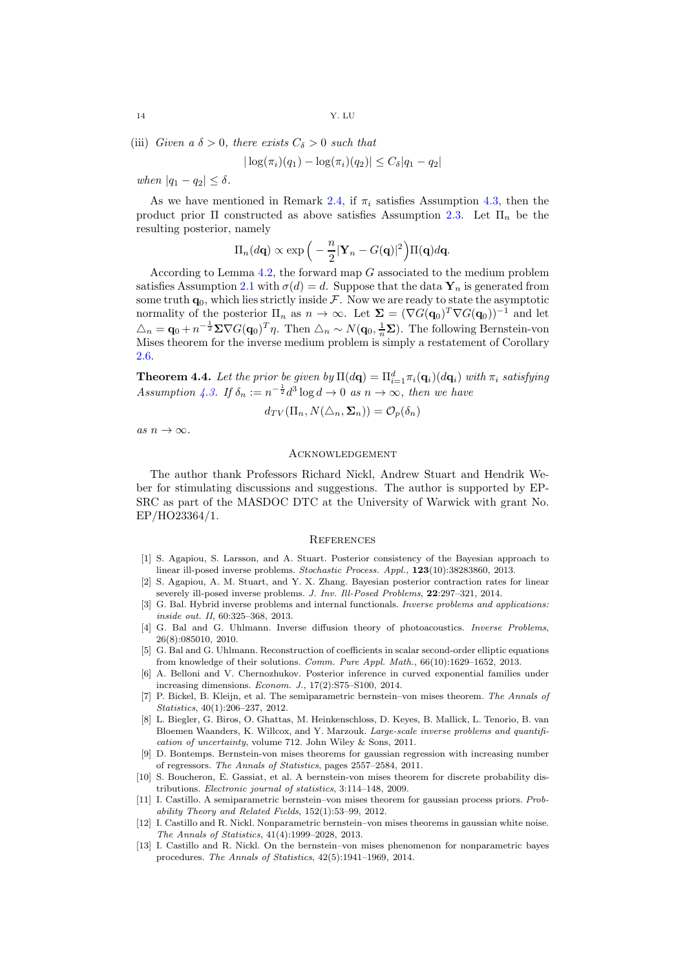(iii) Given a  $\delta > 0$ , there exists  $C_{\delta} > 0$  such that

$$
|\log(\pi_i)(q_1) - \log(\pi_i)(q_2)| \leq C_{\delta}|q_1 - q_2|
$$

when  $|q_1 - q_2| \leq \delta$ .

As we have mentioned in Remark [2.4,](#page-4-1) if  $\pi_i$  satisfies Assumption [4.3,](#page-12-5) then the product prior  $\Pi$  constructed as above satisfies Assumption [2.3.](#page-4-0) Let  $\Pi_n$  be the resulting posterior, namely

$$
\Pi_n(d\mathbf{q}) \propto \exp\Big(-\frac{n}{2}|\mathbf{Y}_n - G(\mathbf{q})|^2\Big)\Pi(\mathbf{q})d\mathbf{q}.
$$

According to Lemma [4.2,](#page-11-6) the forward map G associated to the medium problem satisfies Assumption [2.1](#page-3-3) with  $\sigma(d) = d$ . Suppose that the data  $\mathbf{Y}_n$  is generated from some truth  $\mathbf{q}_0$ , which lies strictly inside  $\mathcal F$ . Now we are ready to state the asymptotic normality of the posterior  $\Pi_n$  as  $n \to \infty$ . Let  $\Sigma = (\nabla G(\mathbf{q}_0)^T \nabla G(\mathbf{q}_0))^{-1}$  and let  $\Delta_n = \mathbf{q}_0 + n^{-\frac{1}{2}} \Sigma \nabla G(\mathbf{q}_0)^T \eta$ . Then  $\Delta_n \sim N(\mathbf{q}_0, \frac{1}{n} \Sigma)$ . The following Bernstein-von Mises theorem for the inverse medium problem is simply a restatement of Corollary [2.6.](#page-6-0)

**Theorem 4.4.** Let the prior be given by  $\Pi(d\mathbf{q}) = \Pi_{i=1}^d \pi_i(\mathbf{q}_i)(d\mathbf{q}_i)$  with  $\pi_i$  satisfying Assumption [4.3.](#page-12-5) If  $\delta_n := n^{-\frac{1}{2}} d^3 \log d \to 0$  as  $n \to \infty$ , then we have

$$
d_{TV}(\Pi_n, N(\triangle_n, \Sigma_n)) = \mathcal{O}_p(\delta_n)
$$

as  $n \to \infty$ .

#### Acknowledgement

The author thank Professors Richard Nickl, Andrew Stuart and Hendrik Weber for stimulating discussions and suggestions. The author is supported by EP-SRC as part of the MASDOC DTC at the University of Warwick with grant No. EP/HO23364/1.

#### **REFERENCES**

- <span id="page-13-1"></span>[1] S. Agapiou, S. Larsson, and A. Stuart. Posterior consistency of the Bayesian approach to linear ill-posed inverse problems. Stochastic Process. Appl., 123(10):38283860, 2013.
- <span id="page-13-2"></span>[2] S. Agapiou, A. M. Stuart, and Y. X. Zhang. Bayesian posterior contraction rates for linear severely ill-posed inverse problems. J. Inv. Ill-Posed Problems,  $22:297-321$ , 2014.
- <span id="page-13-11"></span>[3] G. Bal. Hybrid inverse problems and internal functionals. Inverse problems and applications: inside out. II, 60:325–368, 2013.
- <span id="page-13-10"></span>[4] G. Bal and G. Uhlmann. Inverse diffusion theory of photoacoustics. Inverse Problems, 26(8):085010, 2010.
- <span id="page-13-12"></span>[5] G. Bal and G. Uhlmann. Reconstruction of coefficients in scalar second-order elliptic equations from knowledge of their solutions. Comm. Pure Appl. Math., 66(10):1629–1652, 2013.
- <span id="page-13-9"></span>[6] A. Belloni and V. Chernozhukov. Posterior inference in curved exponential families under increasing dimensions. Econom. J., 17(2):S75–S100, 2014.
- <span id="page-13-5"></span>[7] P. Bickel, B. Kleijn, et al. The semiparametric bernstein–von mises theorem. The Annals of Statistics, 40(1):206–237, 2012.
- <span id="page-13-0"></span>[8] L. Biegler, G. Biros, O. Ghattas, M. Heinkenschloss, D. Keyes, B. Mallick, L. Tenorio, B. van Bloemen Waanders, K. Willcox, and Y. Marzouk. Large-scale inverse problems and quantification of uncertainty, volume 712. John Wiley & Sons, 2011.
- <span id="page-13-7"></span>[9] D. Bontemps. Bernstein-von mises theorems for gaussian regression with increasing number of regressors. The Annals of Statistics, pages 2557–2584, 2011.
- <span id="page-13-8"></span>[10] S. Boucheron, E. Gassiat, et al. A bernstein-von mises theorem for discrete probability distributions. Electronic journal of statistics, 3:114–148, 2009.
- <span id="page-13-6"></span>[11] I. Castillo. A semiparametric bernstein–von mises theorem for gaussian process priors. Probability Theory and Related Fields, 152(1):53–99, 2012.
- <span id="page-13-3"></span>[12] I. Castillo and R. Nickl. Nonparametric bernstein–von mises theorems in gaussian white noise. The Annals of Statistics, 41(4):1999–2028, 2013.
- <span id="page-13-4"></span>[13] I. Castillo and R. Nickl. On the bernstein–von mises phenomenon for nonparametric bayes procedures. The Annals of Statistics, 42(5):1941–1969, 2014.